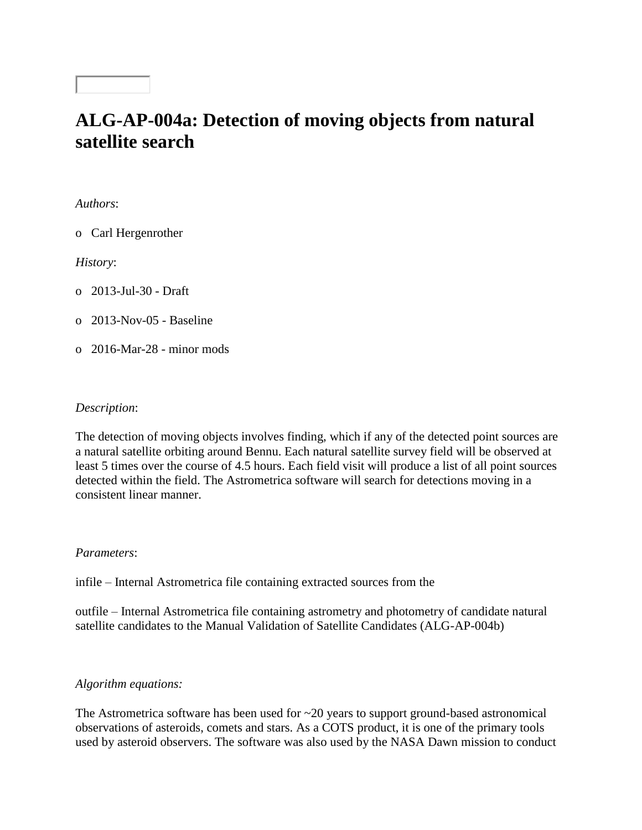## **ALG-AP-004a: Detection of moving objects from natural satellite search**

*Authors*:

o Carl Hergenrother

*History*:

o 2013-Jul-30 - Draft

o 2013-Nov-05 - Baseline

o 2016-Mar-28 - minor mods

## *Description*:

The detection of moving objects involves finding, which if any of the detected point sources are a natural satellite orbiting around Bennu. Each natural satellite survey field will be observed at least 5 times over the course of 4.5 hours. Each field visit will produce a list of all point sources detected within the field. The Astrometrica software will search for detections moving in a consistent linear manner.

## *Parameters*:

infile – Internal Astrometrica file containing extracted sources from the

outfile – Internal Astrometrica file containing astrometry and photometry of candidate natural satellite candidates to the Manual Validation of Satellite Candidates (ALG-AP-004b)

## *Algorithm equations:*

The Astrometrica software has been used for  $\sim$ 20 years to support ground-based astronomical observations of asteroids, comets and stars. As a COTS product, it is one of the primary tools used by asteroid observers. The software was also used by the NASA Dawn mission to conduct